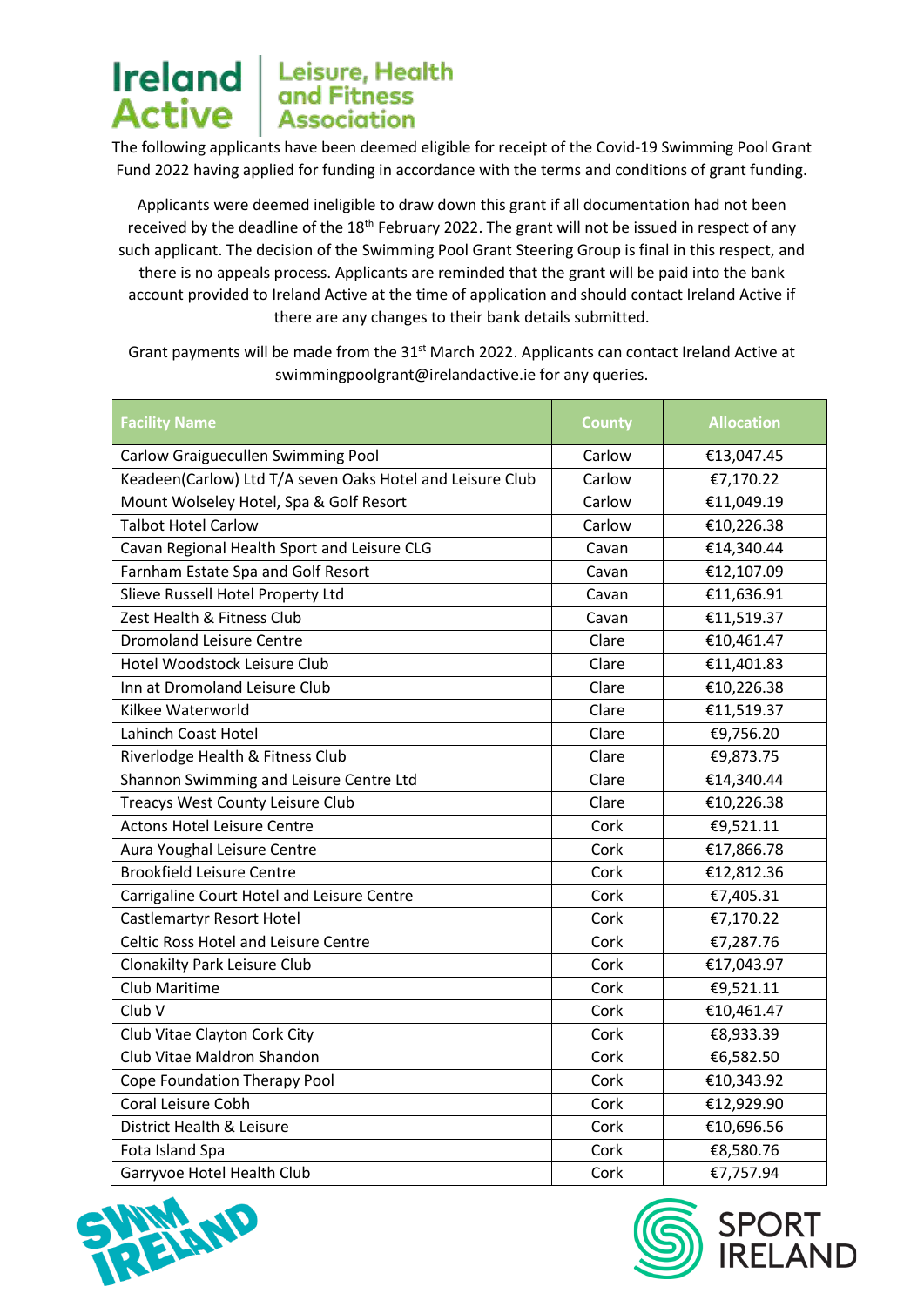The following applicants have been deemed eligible for receipt of the Covid-19 Swimming Pool Grant Fund 2022 having applied for funding in accordance with the terms and conditions of grant funding.

Applicants were deemed ineligible to draw down this grant if all documentation had not been received by the deadline of the 18<sup>th</sup> February 2022. The grant will not be issued in respect of any such applicant. The decision of the Swimming Pool Grant Steering Group is final in this respect, and there is no appeals process. Applicants are reminded that the grant will be paid into the bank account provided to Ireland Active at the time of application and should contact Ireland Active if there are any changes to their bank details submitted.

Grant payments will be made from the 31<sup>st</sup> March 2022. Applicants can contact Ireland Active at swimmingpoolgrant@irelandactive.ie for any queries.

| <b>Facility Name</b>                                      | <b>County</b> | <b>Allocation</b> |
|-----------------------------------------------------------|---------------|-------------------|
| Carlow Graiguecullen Swimming Pool                        | Carlow        | €13,047.45        |
| Keadeen(Carlow) Ltd T/A seven Oaks Hotel and Leisure Club | Carlow        | €7,170.22         |
| Mount Wolseley Hotel, Spa & Golf Resort                   | Carlow        | €11,049.19        |
| <b>Talbot Hotel Carlow</b>                                | Carlow        | €10,226.38        |
| Cavan Regional Health Sport and Leisure CLG               | Cavan         | €14,340.44        |
| Farnham Estate Spa and Golf Resort                        | Cavan         | €12,107.09        |
| Slieve Russell Hotel Property Ltd                         | Cavan         | €11,636.91        |
| Zest Health & Fitness Club                                | Cavan         | €11,519.37        |
| <b>Dromoland Leisure Centre</b>                           | Clare         | €10,461.47        |
| Hotel Woodstock Leisure Club                              | Clare         | €11,401.83        |
| Inn at Dromoland Leisure Club                             | Clare         | €10,226.38        |
| Kilkee Waterworld                                         | Clare         | €11,519.37        |
| Lahinch Coast Hotel                                       | Clare         | €9,756.20         |
| Riverlodge Health & Fitness Club                          | Clare         | €9,873.75         |
| Shannon Swimming and Leisure Centre Ltd                   | Clare         | €14,340.44        |
| Treacys West County Leisure Club                          | Clare         | €10,226.38        |
| <b>Actons Hotel Leisure Centre</b>                        | Cork          | €9,521.11         |
| Aura Youghal Leisure Centre                               | Cork          | €17,866.78        |
| <b>Brookfield Leisure Centre</b>                          | Cork          | €12,812.36        |
| Carrigaline Court Hotel and Leisure Centre                | Cork          | €7,405.31         |
| <b>Castlemartyr Resort Hotel</b>                          | Cork          | €7,170.22         |
| <b>Celtic Ross Hotel and Leisure Centre</b>               | Cork          | €7,287.76         |
| <b>Clonakilty Park Leisure Club</b>                       | Cork          | €17,043.97        |
| <b>Club Maritime</b>                                      | Cork          | €9,521.11         |
| Club V                                                    | Cork          | €10,461.47        |
| Club Vitae Clayton Cork City                              | Cork          | €8,933.39         |
| Club Vitae Maldron Shandon                                | Cork          | €6,582.50         |
| Cope Foundation Therapy Pool                              | Cork          | €10,343.92        |
| Coral Leisure Cobh                                        | Cork          | €12,929.90        |
| District Health & Leisure                                 | Cork          | €10,696.56        |
| Fota Island Spa                                           | Cork          | €8,580.76         |
| Garryvoe Hotel Health Club                                | Cork          | €7,757.94         |





SPORT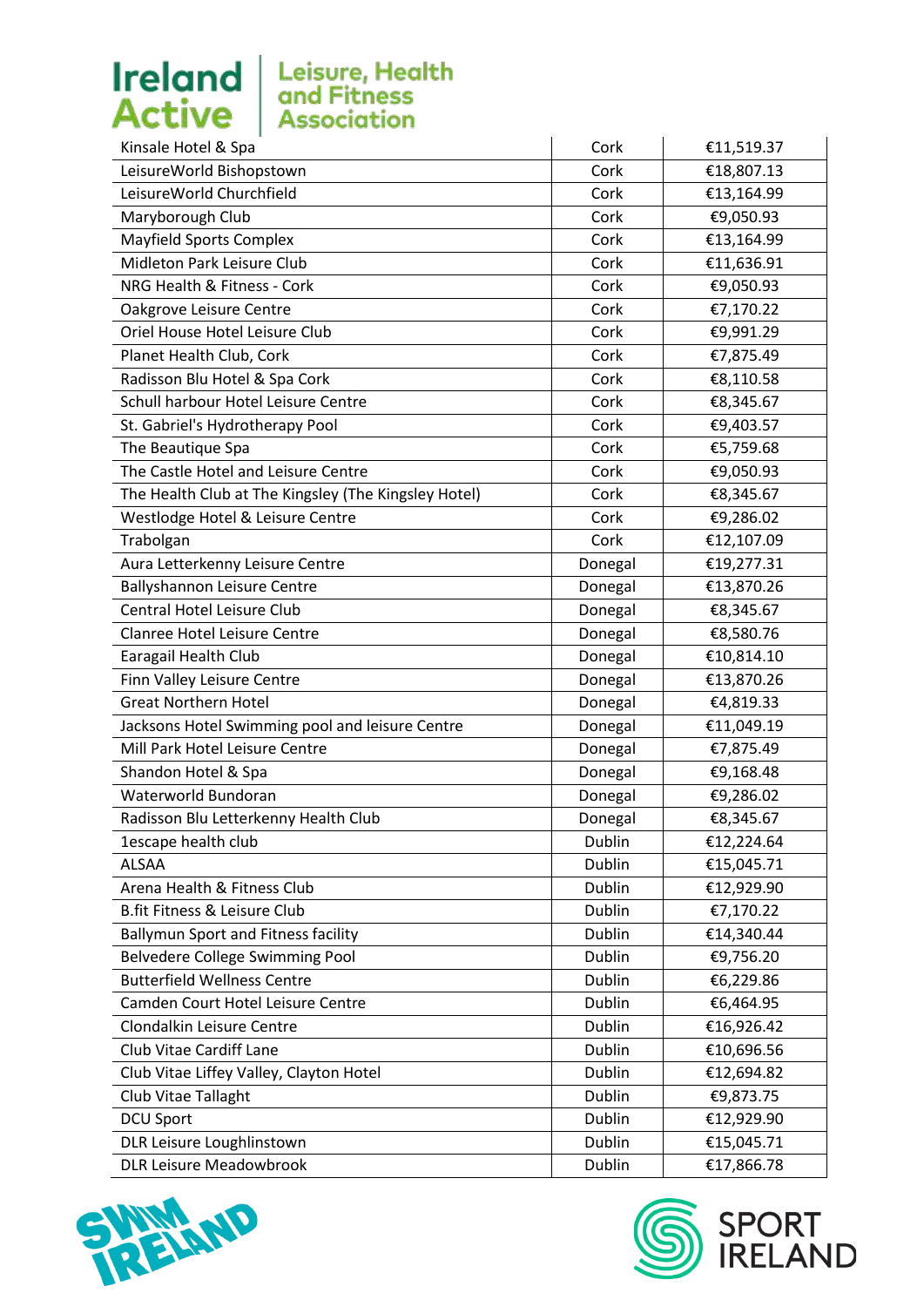

| €11,519.37<br>€18,807.13<br>€13,164.99<br>€9,050.93<br>€13,164.99<br>€11,636.91<br>€9,050.93<br>€7,170.22<br>€9,991.29<br>€7,875.49 |
|-------------------------------------------------------------------------------------------------------------------------------------|
|                                                                                                                                     |
|                                                                                                                                     |
|                                                                                                                                     |
|                                                                                                                                     |
|                                                                                                                                     |
|                                                                                                                                     |
|                                                                                                                                     |
|                                                                                                                                     |
|                                                                                                                                     |
|                                                                                                                                     |
| €8,110.58                                                                                                                           |
| €8,345.67                                                                                                                           |
| €9,403.57                                                                                                                           |
| €5,759.68                                                                                                                           |
| €9,050.93                                                                                                                           |
| €8,345.67                                                                                                                           |
| €9,286.02                                                                                                                           |
| €12,107.09                                                                                                                          |
| €19,277.31<br>Donegal                                                                                                               |
| €13,870.26<br>Donegal                                                                                                               |
| €8,345.67<br>Donegal                                                                                                                |
| €8,580.76<br>Donegal                                                                                                                |
| Donegal<br>€10,814.10                                                                                                               |
| Donegal<br>€13,870.26                                                                                                               |
| Donegal<br>€4,819.33                                                                                                                |
| Donegal<br>€11,049.19                                                                                                               |
| Donegal<br>€7,875.49                                                                                                                |
| Donegal<br>€9,168.48                                                                                                                |
| €9,286.02<br>Donegal                                                                                                                |
| €8,345.67<br>Donegal                                                                                                                |
| Dublin<br>€12,224.64                                                                                                                |
| Dublin<br>€15,045.71                                                                                                                |
| Dublin<br>€12,929.90                                                                                                                |
| Dublin<br>€7,170.22                                                                                                                 |
| Dublin<br>€14,340.44                                                                                                                |
| Dublin<br>€9,756.20                                                                                                                 |
| Dublin<br>€6,229.86                                                                                                                 |
| Dublin<br>€6,464.95                                                                                                                 |
| Dublin<br>€16,926.42                                                                                                                |
| Dublin<br>€10,696.56                                                                                                                |
| Dublin<br>€12,694.82                                                                                                                |
| Dublin<br>€9,873.75                                                                                                                 |
| Dublin<br>€12,929.90                                                                                                                |
| Dublin<br>€15,045.71                                                                                                                |
| Dublin<br>€17,866.78                                                                                                                |
|                                                                                                                                     |



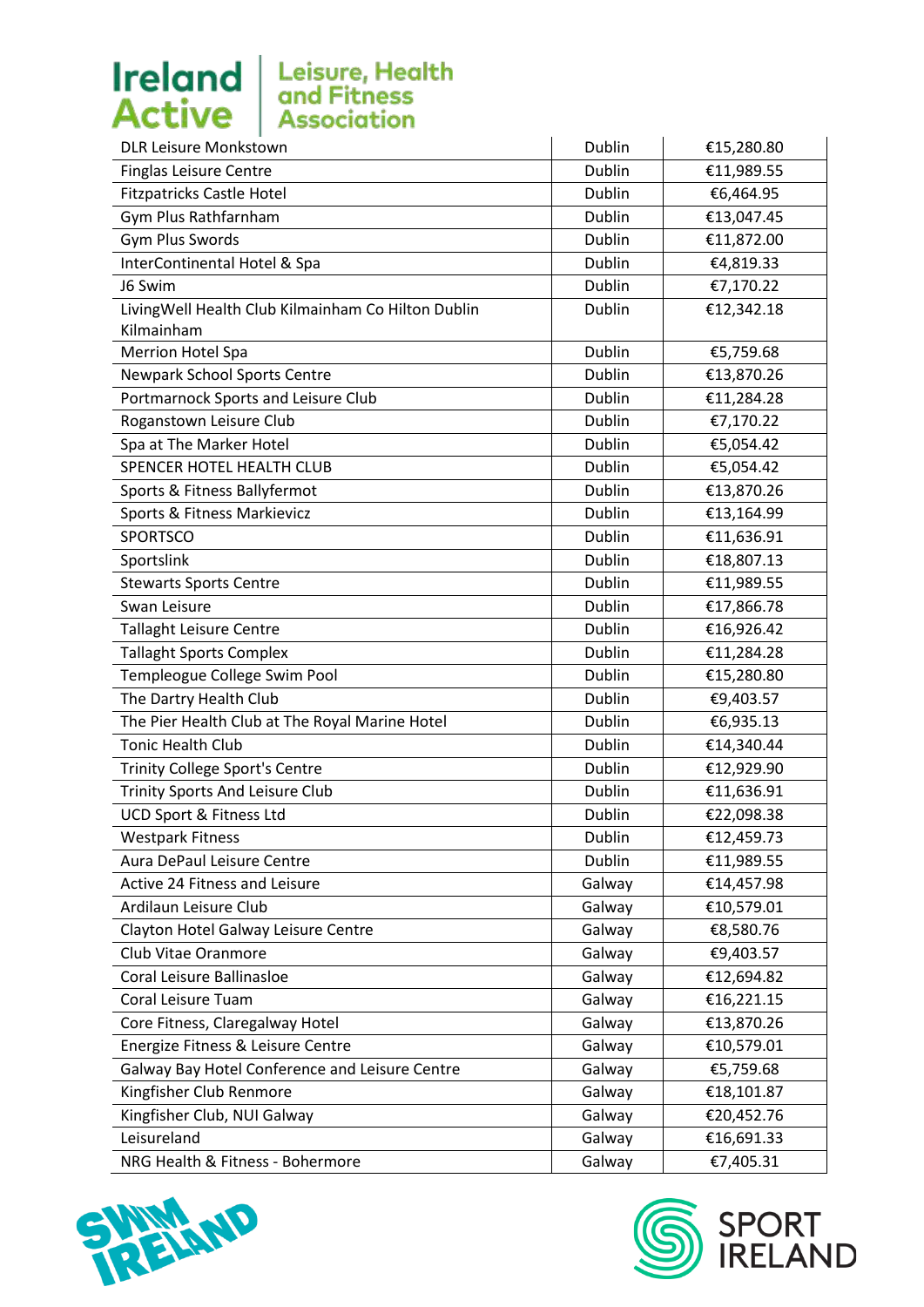

| DLR Leisure Monkstown                              | Dublin        | €15,280.80 |
|----------------------------------------------------|---------------|------------|
| <b>Finglas Leisure Centre</b>                      | Dublin        | €11,989.55 |
| <b>Fitzpatricks Castle Hotel</b>                   | Dublin        | €6,464.95  |
| Gym Plus Rathfarnham                               | <b>Dublin</b> | €13,047.45 |
| Gym Plus Swords                                    | Dublin        | €11,872.00 |
| InterContinental Hotel & Spa                       | <b>Dublin</b> | €4,819.33  |
| J6 Swim                                            | Dublin        | €7,170.22  |
| LivingWell Health Club Kilmainham Co Hilton Dublin | Dublin        | €12,342.18 |
| Kilmainham                                         |               |            |
| <b>Merrion Hotel Spa</b>                           | Dublin        | €5,759.68  |
| <b>Newpark School Sports Centre</b>                | Dublin        | €13,870.26 |
| Portmarnock Sports and Leisure Club                | Dublin        | €11,284.28 |
| Roganstown Leisure Club                            | <b>Dublin</b> | €7,170.22  |
| Spa at The Marker Hotel                            | Dublin        | €5,054.42  |
| SPENCER HOTEL HEALTH CLUB                          | <b>Dublin</b> | €5,054.42  |
| Sports & Fitness Ballyfermot                       | <b>Dublin</b> | €13,870.26 |
| Sports & Fitness Markievicz                        | Dublin        | €13,164.99 |
| <b>SPORTSCO</b>                                    | Dublin        | €11,636.91 |
| Sportslink                                         | <b>Dublin</b> | €18,807.13 |
| <b>Stewarts Sports Centre</b>                      | Dublin        | €11,989.55 |
| Swan Leisure                                       | Dublin        | €17,866.78 |
| <b>Tallaght Leisure Centre</b>                     | Dublin        | €16,926.42 |
| <b>Tallaght Sports Complex</b>                     | Dublin        | €11,284.28 |
| Templeogue College Swim Pool                       | Dublin        | €15,280.80 |
| The Dartry Health Club                             | Dublin        | €9,403.57  |
| The Pier Health Club at The Royal Marine Hotel     | Dublin        | €6,935.13  |
| <b>Tonic Health Club</b>                           | Dublin        | €14,340.44 |
| <b>Trinity College Sport's Centre</b>              | Dublin        | €12,929.90 |
| Trinity Sports And Leisure Club                    | Dublin        | €11,636.91 |
| UCD Sport & Fitness Ltd                            | Dublin        | €22,098.38 |
| <b>Westpark Fitness</b>                            | Dublin        | €12,459.73 |
| Aura DePaul Leisure Centre                         | Dublin        | €11,989.55 |
| Active 24 Fitness and Leisure                      | Galway        | €14,457.98 |
| Ardilaun Leisure Club                              | Galway        | €10,579.01 |
| Clayton Hotel Galway Leisure Centre                | Galway        | €8,580.76  |
| Club Vitae Oranmore                                | Galway        | €9,403.57  |
| Coral Leisure Ballinasloe                          | Galway        | €12,694.82 |
| Coral Leisure Tuam                                 | Galway        | €16,221.15 |
| Core Fitness, Claregalway Hotel                    | Galway        | €13,870.26 |
| Energize Fitness & Leisure Centre                  | Galway        | €10,579.01 |
| Galway Bay Hotel Conference and Leisure Centre     | Galway        | €5,759.68  |
| Kingfisher Club Renmore                            | Galway        | €18,101.87 |
| Kingfisher Club, NUI Galway                        | Galway        | €20,452.76 |
| Leisureland                                        | Galway        | €16,691.33 |
| NRG Health & Fitness - Bohermore                   | Galway        | €7,405.31  |



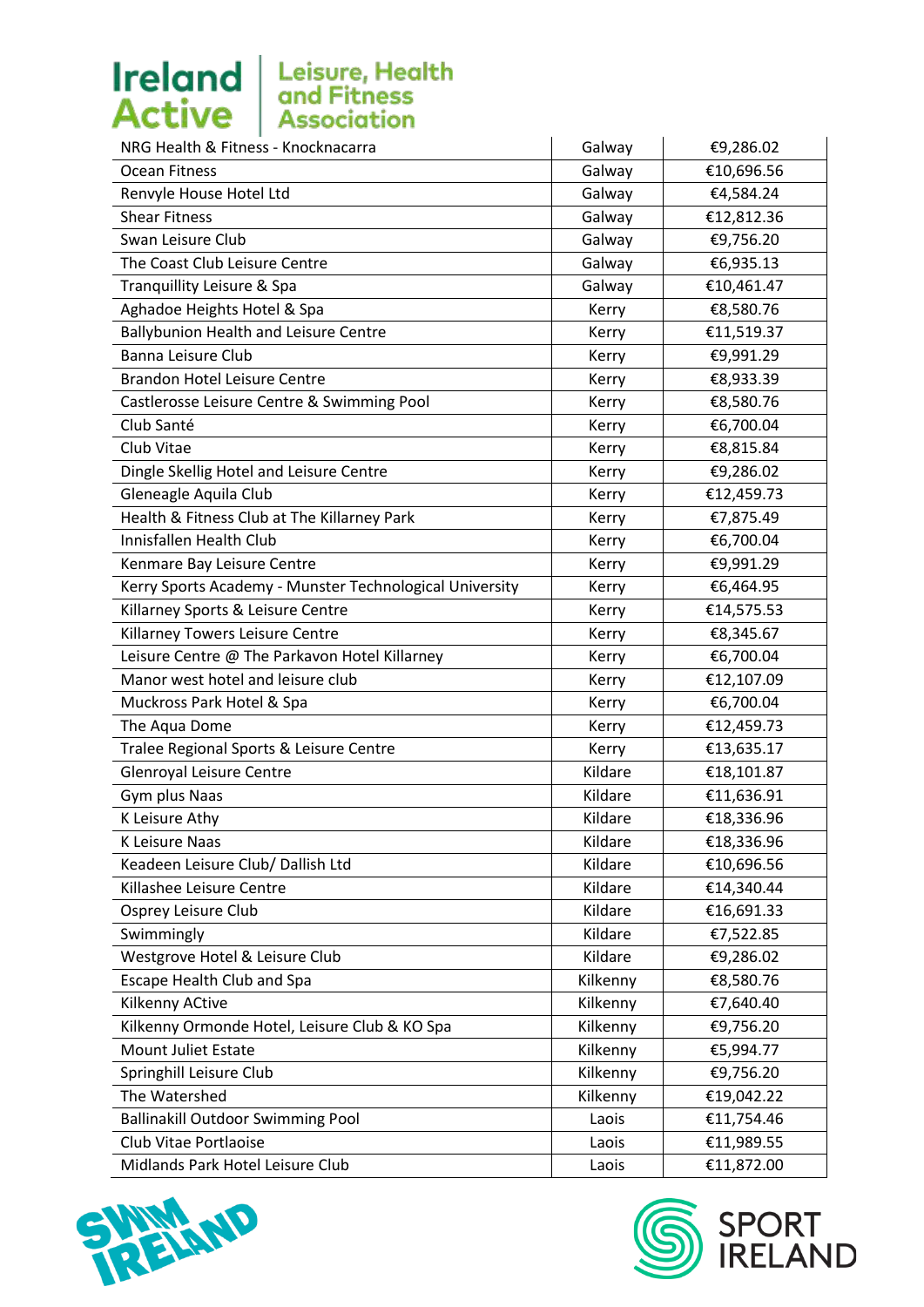| Galway   | €9,286.02  |
|----------|------------|
| Galway   | €10,696.56 |
| Galway   | €4,584.24  |
| Galway   | €12,812.36 |
| Galway   | €9,756.20  |
| Galway   | €6,935.13  |
| Galway   | €10,461.47 |
| Kerry    | €8,580.76  |
| Kerry    | €11,519.37 |
| Kerry    | €9,991.29  |
| Kerry    | €8,933.39  |
| Kerry    | €8,580.76  |
| Kerry    | €6,700.04  |
| Kerry    | €8,815.84  |
| Kerry    | €9,286.02  |
| Kerry    | €12,459.73 |
| Kerry    | €7,875.49  |
| Kerry    | €6,700.04  |
| Kerry    | €9,991.29  |
| Kerry    | €6,464.95  |
| Kerry    | €14,575.53 |
| Kerry    | €8,345.67  |
| Kerry    | €6,700.04  |
| Kerry    | €12,107.09 |
| Kerry    | €6,700.04  |
| Kerry    | €12,459.73 |
| Kerry    | €13,635.17 |
| Kildare  | €18,101.87 |
| Kildare  | €11,636.91 |
| Kildare  | €18,336.96 |
| Kildare  | €18,336.96 |
| Kildare  | €10,696.56 |
| Kildare  | €14,340.44 |
| Kildare  | €16,691.33 |
| Kildare  | €7,522.85  |
| Kildare  | €9,286.02  |
| Kilkenny | €8,580.76  |
| Kilkenny | €7,640.40  |
| Kilkenny | €9,756.20  |
| Kilkenny | €5,994.77  |
| Kilkenny | €9,756.20  |
| Kilkenny | €19,042.22 |
| Laois    | €11,754.46 |
| Laois    | €11,989.55 |
| Laois    | €11,872.00 |
|          |            |



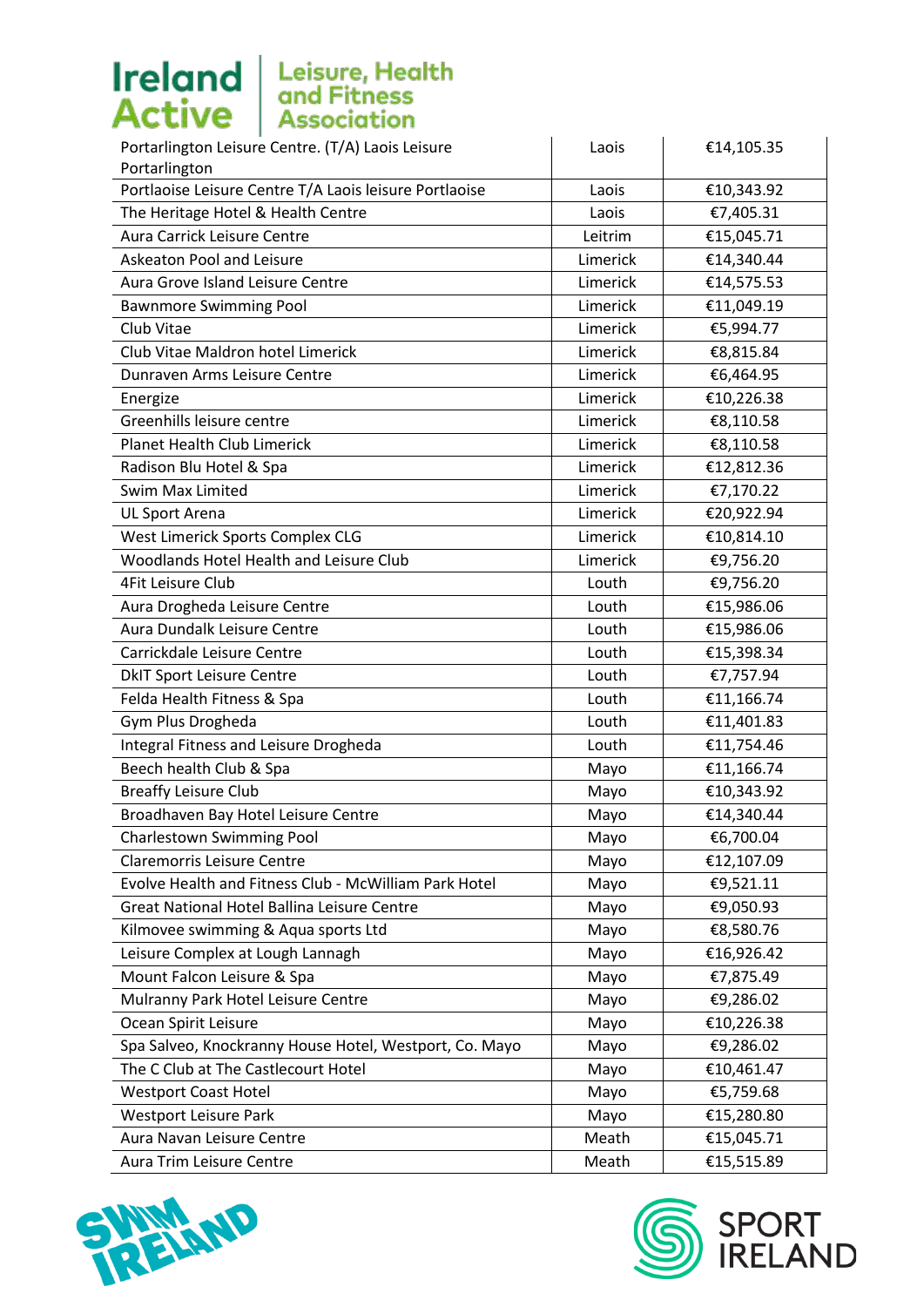| Portarlington Leisure Centre. (T/A) Laois Leisure      | Laois    | €14,105.35 |
|--------------------------------------------------------|----------|------------|
| Portarlington                                          |          |            |
| Portlaoise Leisure Centre T/A Laois leisure Portlaoise | Laois    | €10,343.92 |
| The Heritage Hotel & Health Centre                     | Laois    | €7,405.31  |
| Aura Carrick Leisure Centre                            | Leitrim  | €15,045.71 |
| Askeaton Pool and Leisure                              | Limerick | €14,340.44 |
| Aura Grove Island Leisure Centre                       | Limerick | €14,575.53 |
| <b>Bawnmore Swimming Pool</b>                          | Limerick | €11,049.19 |
| Club Vitae                                             | Limerick | €5,994.77  |
| Club Vitae Maldron hotel Limerick                      | Limerick | €8,815.84  |
| Dunraven Arms Leisure Centre                           | Limerick | €6,464.95  |
| Energize                                               | Limerick | €10,226.38 |
| Greenhills leisure centre                              | Limerick | €8,110.58  |
| Planet Health Club Limerick                            | Limerick | €8,110.58  |
| Radison Blu Hotel & Spa                                | Limerick | €12,812.36 |
| Swim Max Limited                                       | Limerick | €7,170.22  |
| UL Sport Arena                                         | Limerick | €20,922.94 |
| West Limerick Sports Complex CLG                       | Limerick | €10,814.10 |
| Woodlands Hotel Health and Leisure Club                | Limerick | €9,756.20  |
| <b>4Fit Leisure Club</b>                               | Louth    | €9,756.20  |
| Aura Drogheda Leisure Centre                           | Louth    | €15,986.06 |
| Aura Dundalk Leisure Centre                            | Louth    | €15,986.06 |
| Carrickdale Leisure Centre                             | Louth    | €15,398.34 |
| <b>DkIT Sport Leisure Centre</b>                       | Louth    | €7,757.94  |
| Felda Health Fitness & Spa                             | Louth    | €11,166.74 |
| Gym Plus Drogheda                                      | Louth    | €11,401.83 |
| Integral Fitness and Leisure Drogheda                  | Louth    | €11,754.46 |
| Beech health Club & Spa                                | Mayo     | €11,166.74 |
| <b>Breaffy Leisure Club</b>                            | Mayo     | €10,343.92 |
| Broadhaven Bay Hotel Leisure Centre                    | Mayo     | €14,340.44 |
| <b>Charlestown Swimming Pool</b>                       | Mayo     | €6,700.04  |
| <b>Claremorris Leisure Centre</b>                      | Mayo     | €12,107.09 |
| Evolve Health and Fitness Club - McWilliam Park Hotel  | Mayo     | €9,521.11  |
| Great National Hotel Ballina Leisure Centre            | Mayo     | €9,050.93  |
| Kilmovee swimming & Aqua sports Ltd                    | Mayo     | €8,580.76  |
| Leisure Complex at Lough Lannagh                       | Mayo     | €16,926.42 |
| Mount Falcon Leisure & Spa                             | Mayo     | €7,875.49  |
| Mulranny Park Hotel Leisure Centre                     | Mayo     | €9,286.02  |
| Ocean Spirit Leisure                                   | Mayo     | €10,226.38 |
| Spa Salveo, Knockranny House Hotel, Westport, Co. Mayo | Mayo     | €9,286.02  |
| The C Club at The Castlecourt Hotel                    | Mayo     | €10,461.47 |
| <b>Westport Coast Hotel</b>                            | Mayo     | €5,759.68  |
| <b>Westport Leisure Park</b>                           | Mayo     | €15,280.80 |
| Aura Navan Leisure Centre                              | Meath    | €15,045.71 |
| Aura Trim Leisure Centre                               | Meath    | €15,515.89 |



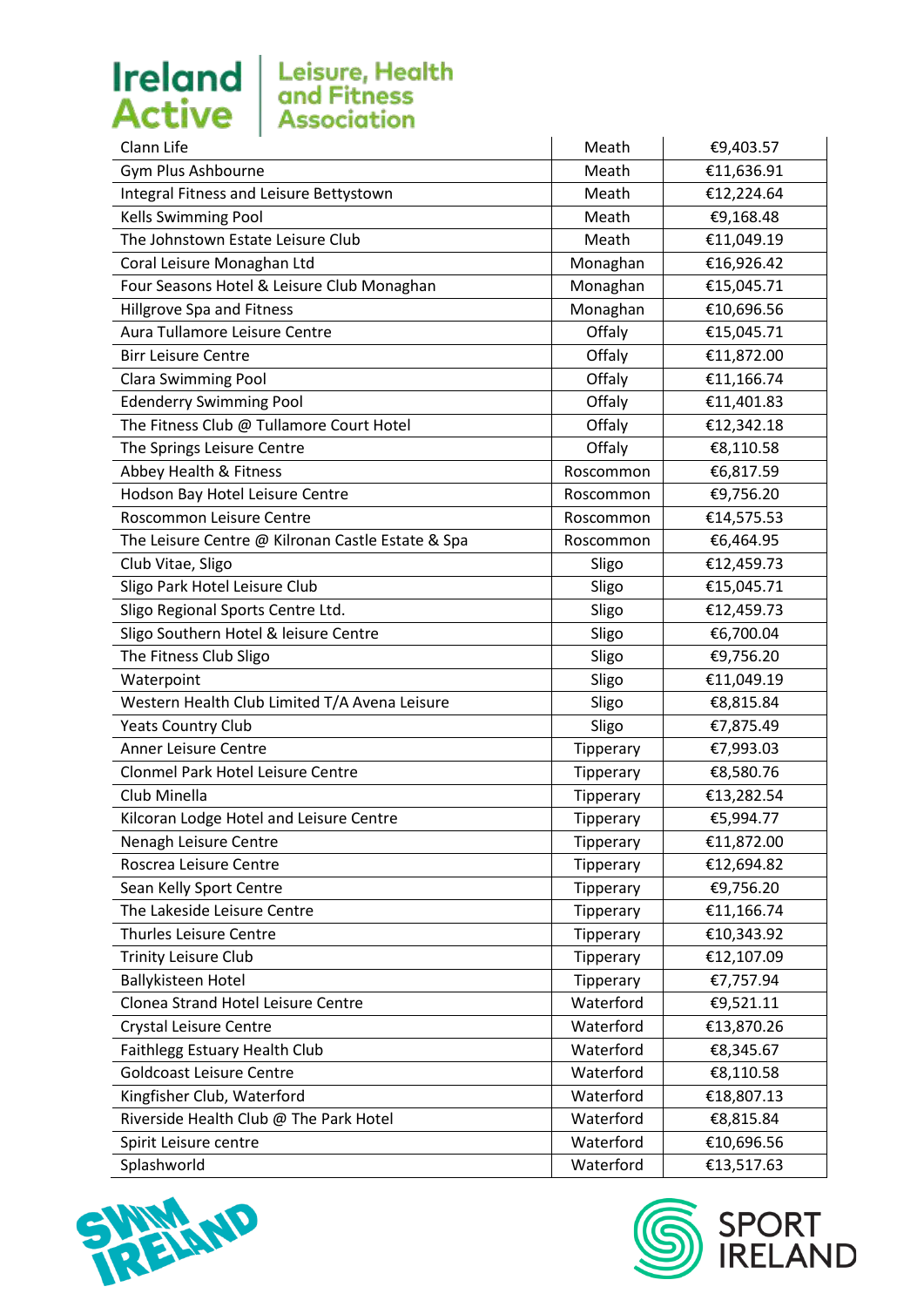

| Clann Life                                        | Meath     | €9,403.57  |
|---------------------------------------------------|-----------|------------|
| Gym Plus Ashbourne                                | Meath     | €11,636.91 |
| Integral Fitness and Leisure Bettystown           | Meath     | €12,224.64 |
| Kells Swimming Pool                               | Meath     | €9,168.48  |
| The Johnstown Estate Leisure Club                 | Meath     | €11,049.19 |
| Coral Leisure Monaghan Ltd                        | Monaghan  | €16,926.42 |
| Four Seasons Hotel & Leisure Club Monaghan        | Monaghan  | €15,045.71 |
| Hillgrove Spa and Fitness                         | Monaghan  | €10,696.56 |
| Aura Tullamore Leisure Centre                     | Offaly    | €15,045.71 |
| <b>Birr Leisure Centre</b>                        | Offaly    | €11,872.00 |
| <b>Clara Swimming Pool</b>                        | Offaly    | €11,166.74 |
| <b>Edenderry Swimming Pool</b>                    | Offaly    | €11,401.83 |
| The Fitness Club @ Tullamore Court Hotel          | Offaly    | €12,342.18 |
| The Springs Leisure Centre                        | Offaly    | €8,110.58  |
| Abbey Health & Fitness                            | Roscommon | €6,817.59  |
| Hodson Bay Hotel Leisure Centre                   | Roscommon | €9,756.20  |
| Roscommon Leisure Centre                          | Roscommon | €14,575.53 |
| The Leisure Centre @ Kilronan Castle Estate & Spa | Roscommon | €6,464.95  |
| Club Vitae, Sligo                                 | Sligo     | €12,459.73 |
| Sligo Park Hotel Leisure Club                     | Sligo     | €15,045.71 |
| Sligo Regional Sports Centre Ltd.                 | Sligo     | €12,459.73 |
| Sligo Southern Hotel & leisure Centre             | Sligo     | €6,700.04  |
| The Fitness Club Sligo                            | Sligo     | €9,756.20  |
| Waterpoint                                        | Sligo     | €11,049.19 |
| Western Health Club Limited T/A Avena Leisure     | Sligo     | €8,815.84  |
| <b>Yeats Country Club</b>                         | Sligo     | €7,875.49  |
| Anner Leisure Centre                              | Tipperary | €7,993.03  |
| Clonmel Park Hotel Leisure Centre                 | Tipperary | €8,580.76  |
| Club Minella                                      | Tipperary | €13,282.54 |
| Kilcoran Lodge Hotel and Leisure Centre           | Tipperary | €5,994.77  |
| Nenagh Leisure Centre                             | Tipperary | €11,872.00 |
| Roscrea Leisure Centre                            | Tipperary | €12,694.82 |
| Sean Kelly Sport Centre                           | Tipperary | €9,756.20  |
| The Lakeside Leisure Centre                       | Tipperary | €11,166.74 |
| <b>Thurles Leisure Centre</b>                     | Tipperary | €10,343.92 |
| <b>Trinity Leisure Club</b>                       | Tipperary | €12,107.09 |
| <b>Ballykisteen Hotel</b>                         | Tipperary | €7,757.94  |
| Clonea Strand Hotel Leisure Centre                | Waterford | €9,521.11  |
| Crystal Leisure Centre                            | Waterford | €13,870.26 |
| Faithlegg Estuary Health Club                     | Waterford | €8,345.67  |
| <b>Goldcoast Leisure Centre</b>                   | Waterford | €8,110.58  |
| Kingfisher Club, Waterford                        | Waterford | €18,807.13 |
| Riverside Health Club @ The Park Hotel            | Waterford | €8,815.84  |
| Spirit Leisure centre                             | Waterford | €10,696.56 |
| Splashworld                                       | Waterford | €13,517.63 |